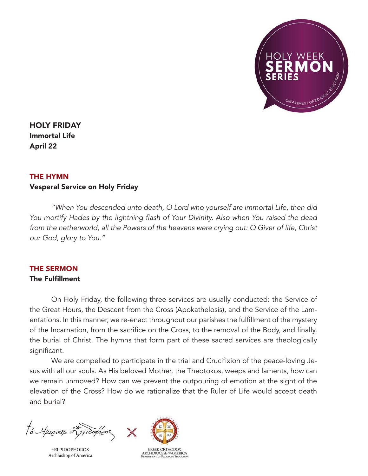

HOLY FRIDAY Immortal Life April 22

## THE HYMN

## Vesperal Service on Holy Friday

*"When You descended unto death, O Lord who yourself are immortal Life, then did*  You mortify Hades by the lightning flash of Your Divinity. Also when You raised the dead from the netherworld, all the Powers of the heavens were crying out: O Giver of life, Christ our God, glory to You."

## THE SERMON The Fulfillment

On Holy Friday, the following three services are usually conducted: the Service of the Great Hours, the Descent from the Cross (Apokathelosis), and the Service of the Lamentations. In this manner, we re-enact throughout our parishes the fulfillment of the mystery of the Incarnation, from the sacrifice on the Cross, to the removal of the Body, and finally, the burial of Christ. The hymns that form part of these sacred services are theologically significant.

We are compelled to participate in the trial and Crucifixion of the peace-loving Jesus with all our souls. As His beloved Mother, the Theotokos, weeps and laments, how can we remain unmoved? How can we prevent the outpouring of emotion at the sight of the elevation of the Cross? How do we rationalize that the Ruler of Life would accept death and burial?

to Aprentis 25 proofor

**†ELPIDOPHOROS** Archbishop of America